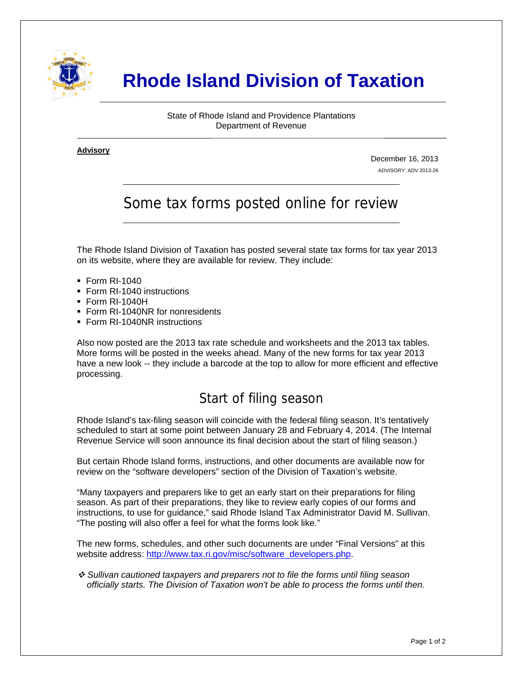

# **Rhode Island Division of Taxation**

State of Rhode Island and Providence Plantations Department of Revenue

**Advisory** ٦

i

December 16, 2013 ADVISORY: ADV 2013-26

# Some tax forms posted online for review

The Rhode Island Division of Taxation has posted several state tax forms for tax year 2013 on its website, where they are available for review. They include:

- Form RI-1040
- Form RI-1040 instructions
- Form RI-1040H
- **Form RI-1040NR for nonresidents**
- Form RI-1040NR instructions

Also now posted are the 2013 tax rate schedule and worksheets and the 2013 tax tables. More forms will be posted in the weeks ahead. Many of the new forms for tax year 2013 have a new look -- they include a barcode at the top to allow for more efficient and effective processing.

#### Start of filing season

Rhode Island's tax-filing season will coincide with the federal filing season. It's tentatively scheduled to start at some point between January 28 and February 4, 2014. (The Internal Revenue Service will soon announce its final decision about the start of filing season.)

But certain Rhode Island forms, instructions, and other documents are available now for review on the "software developers" section of the Division of Taxation's website.

"Many taxpayers and preparers like to get an early start on their preparations for filing season. As part of their preparations, they like to review early copies of our forms and instructions, to use for guidance," said Rhode Island Tax Administrator David M. Sullivan. "The posting will also offer a feel for what the forms look like."

The new forms, schedules, and other such documents are under "Final Versions" at this website address: [http://www.tax.ri.gov/misc/software\\_developers.php.](http://www.tax.ri.gov/misc/software_developers.php)

 *Sullivan cautioned taxpayers and preparers not to file the forms until filing season officially starts. The Division of Taxation won't be able to process the forms until then.*